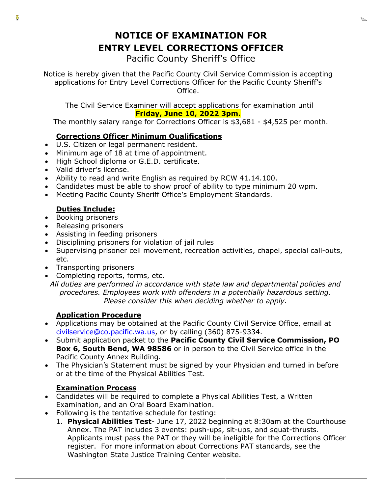# **NOTICE OF EXAMINATION FOR ENTRY LEVEL CORRECTIONS OFFICER**

Pacific County Sheriff's Office

Notice is hereby given that the Pacific County Civil Service Commission is accepting applications for Entry Level Corrections Officer for the Pacific County Sheriff's Office.

The Civil Service Examiner will accept applications for examination until **Friday, June 10, 2022 3pm.**

The monthly salary range for Corrections Officer is \$3,681 - \$4,525 per month.

### **Corrections Officer Minimum Qualifications**

- U.S. Citizen or legal permanent resident.
- Minimum age of 18 at time of appointment.
- High School diploma or G.E.D. certificate.
- Valid driver's license.
- Ability to read and write English as required by RCW 41.14.100.
- Candidates must be able to show proof of ability to type minimum 20 wpm.
- Meeting Pacific County Sheriff Office's Employment Standards.

## **Duties Include:**

- Booking prisoners
- Releasing prisoners
- Assisting in feeding prisoners
- Disciplining prisoners for violation of jail rules
- Supervising prisoner cell movement, recreation activities, chapel, special call-outs, etc.
- Transporting prisoners
- Completing reports, forms, etc.

*All duties are performed in accordance with state law and departmental policies and procedures. Employees work with offenders in a potentially hazardous setting. Please consider this when deciding whether to apply.* 

#### **Application Procedure**

- Applications may be obtained at the Pacific County Civil Service Office, email at [civilservice@co.pacific.wa.us,](mailto:civilservice@co.pacific.wa.us) or by calling (360) 875-9334.
- Submit application packet to the **Pacific County Civil Service Commission, PO Box 6, South Bend, WA 98586** or in person to the Civil Service office in the Pacific County Annex Building.
- The Physician's Statement must be signed by your Physician and turned in before or at the time of the Physical Abilities Test.

#### **Examination Process**

- Candidates will be required to complete a Physical Abilities Test, a Written Examination, and an Oral Board Examination.
- Following is the tentative schedule for testing:
	- 1. **Physical Abilities Test** June 17, 2022 beginning at 8:30am at the Courthouse Annex. The PAT includes 3 events: push-ups, sit-ups, and squat-thrusts. Applicants must pass the PAT or they will be ineligible for the Corrections Officer register. For more information about Corrections PAT standards, see the Washington State Justice Training Center website.